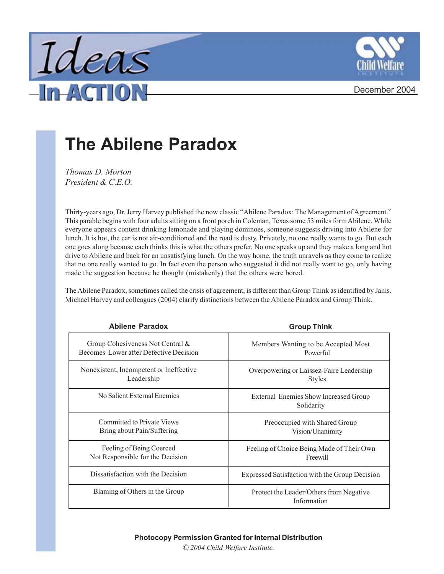



## December 2004

## **The Abilene Paradox**

*Thomas D. Morton President & C.E.O.*

Thirty-years ago, Dr. Jerry Harvey published the now classic "Abilene Paradox: The Management of Agreement." This parable begins with four adults sitting on a front porch in Coleman, Texas some 53 miles form Abilene. While everyone appears content drinking lemonade and playing dominoes, someone suggests driving into Abilene for lunch. It is hot, the car is not air-conditioned and the road is dusty. Privately, no one really wants to go. But each one goes along because each thinks this is what the others prefer. No one speaks up and they make a long and hot drive to Abilene and back for an unsatisfying lunch. On the way home, the truth unravels as they come to realize that no one really wanted to go. In fact even the person who suggested it did not really want to go, only having made the suggestion because he thought (mistakenly) that the others were bored.

The Abilene Paradox, sometimes called the crisis of agreement, is different than Group Think as identified by Janis. Michael Harvey and colleagues (2004) clarify distinctions between the Abilene Paradox and Group Think.

| <b>Abilene Paradox</b>                  | <b>Group Think</b>                                     |
|-----------------------------------------|--------------------------------------------------------|
| Group Cohesiveness Not Central &        | Members Wanting to be Accepted Most                    |
| Becomes Lower after Defective Decision  | Powerful                                               |
| Nonexistent, Incompetent or Ineffective | Overpowering or Laissez-Faire Leadership               |
| Leadership                              | <b>Styles</b>                                          |
| No Salient External Enemies             | External Enemies Show Increased Group<br>Solidarity    |
| <b>Committed to Private Views</b>       | Preoccupied with Shared Group                          |
| Bring about Pain/Suffering              | Vision/Unanimity                                       |
| Feeling of Being Coerced                | Feeling of Choice Being Made of Their Own              |
| Not Responsible for the Decision        | Freewill                                               |
| Dissatisfaction with the Decision       | Expressed Satisfaction with the Group Decision         |
| Blaming of Others in the Group          | Protect the Leader/Others from Negative<br>Information |